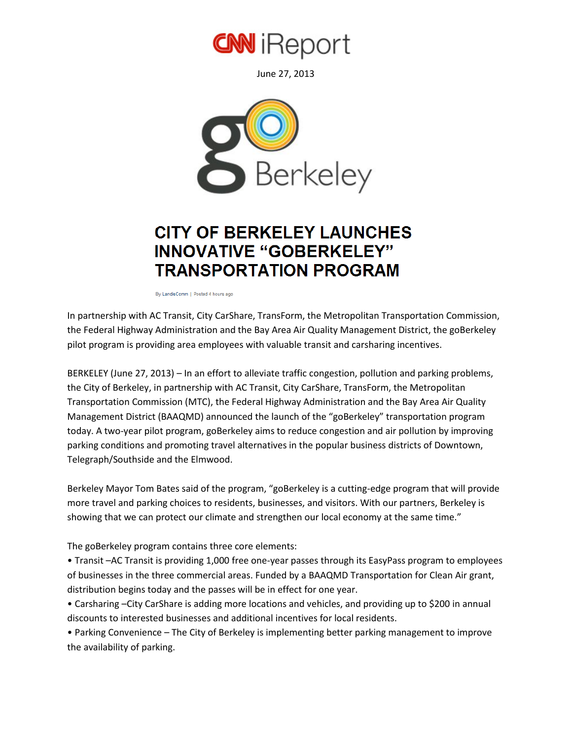

June 27, 2013



## **CITY OF BERKELEY LAUNCHES INNOVATIVE "GOBERKELEY" TRANSPORTATION PROGRAM**

By LandisComm | Posted 4 hours ago

In partnership with AC Transit, City CarShare, TransForm, the Metropolitan Transportation Commission, the Federal Highway Administration and the Bay Area Air Quality Management District, the goBerkeley pilot program is providing area employees with valuable transit and carsharing incentives.

BERKELEY (June 27, 2013) – In an effort to alleviate traffic congestion, pollution and parking problems, the City of Berkeley, in partnership with AC Transit, City CarShare, TransForm, the Metropolitan Transportation Commission (MTC), the Federal Highway Administration and the Bay Area Air Quality Management District (BAAQMD) announced the launch of the "goBerkeley" transportation program today. A two-year pilot program, goBerkeley aims to reduce congestion and air pollution by improving parking conditions and promoting travel alternatives in the popular business districts of Downtown, Telegraph/Southside and the Elmwood.

Berkeley Mayor Tom Bates said of the program, "goBerkeley is a cutting-edge program that will provide more travel and parking choices to residents, businesses, and visitors. With our partners, Berkeley is showing that we can protect our climate and strengthen our local economy at the same time."

The goBerkeley program contains three core elements:

• Transit –AC Transit is providing 1,000 free one-year passes through its EasyPass program to employees of businesses in the three commercial areas. Funded by a BAAQMD Transportation for Clean Air grant, distribution begins today and the passes will be in effect for one year.

• Carsharing –City CarShare is adding more locations and vehicles, and providing up to \$200 in annual discounts to interested businesses and additional incentives for local residents.

• Parking Convenience – The City of Berkeley is implementing better parking management to improve the availability of parking.